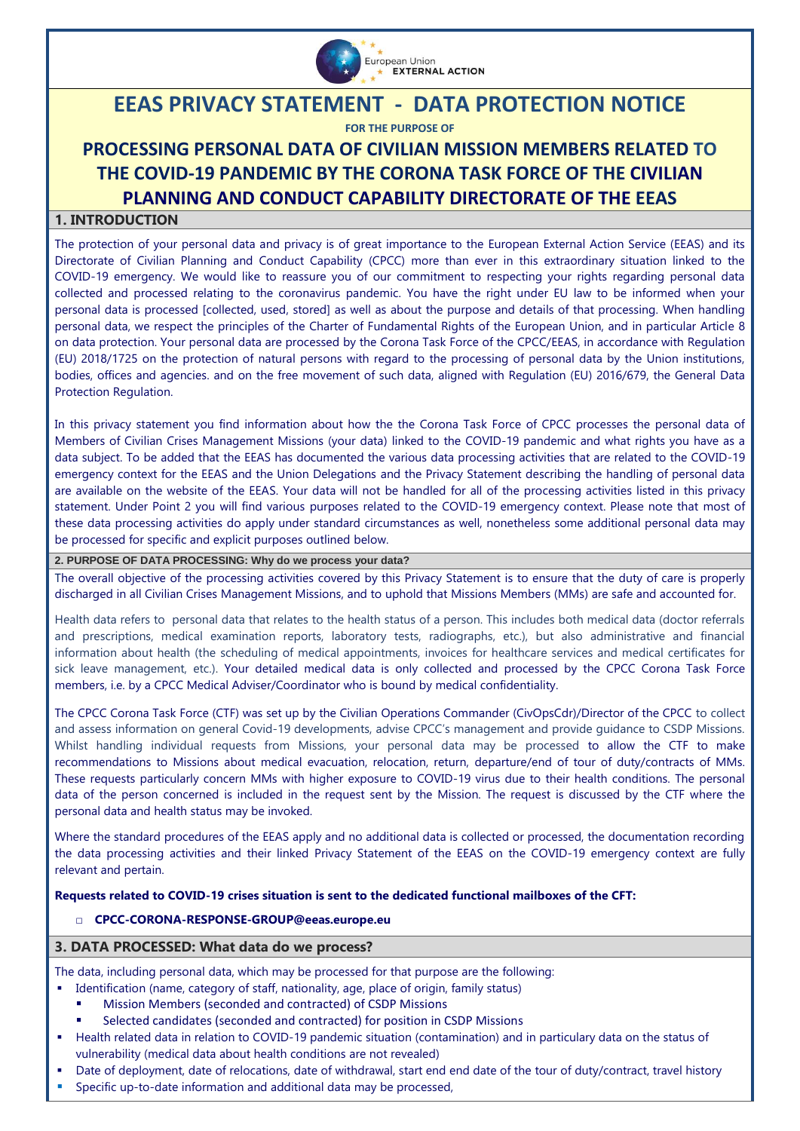

# **EEAS PRIVACY STATEMENT - DATA PROTECTION NOTICE**

**FOR THE PURPOSE OF**

# **PROCESSING PERSONAL DATA OF CIVILIAN MISSION MEMBERS RELATED TO THE COVID-19 PANDEMIC BY THE CORONA TASK FORCE OF THE CIVILIAN PLANNING AND CONDUCT CAPABILITY DIRECTORATE OF THE EEAS**

# **1. INTRODUCTION**

The protection of your personal data and privacy is of great importance to the European External Action Service (EEAS) and its Directorate of Civilian Planning and Conduct Capability (CPCC) more than ever in this extraordinary situation linked to the COVID-19 emergency. We would like to reassure you of our commitment to respecting your rights regarding personal data collected and processed relating to the coronavirus pandemic. You have the right under EU law to be informed when your personal data is processed [collected, used, stored] as well as about the purpose and details of that processing. When handling personal data, we respect the principles of the Charter of Fundamental Rights of the European Union, and in particular Article 8 on data protection. Your personal data are processed by the Corona Task Force of the CPCC/EEAS, in accordance wit[h Regulation](https://eur-lex.europa.eu/legal-content/EN/TXT/?uri=CELEX%3A32018R1725)  [\(EU\) 2018/1725 on the protection of natural persons with regard to the processing of personal data by the Union institutions,](https://eur-lex.europa.eu/legal-content/EN/TXT/?uri=CELEX%3A32018R1725)  bodies, offices and agencies. [and on the free movement of such data,](https://eur-lex.europa.eu/legal-content/EN/TXT/?uri=CELEX%3A32018R1725) aligned with Regulation (EU) 2016/679, the General Data Protection Regulation.

In this privacy statement you find information about how the the Corona Task Force of CPCC processes the personal data of Members of Civilian Crises Management Missions (your data) linked to the COVID-19 pandemic and what rights you have as a data subject. To be added that the EEAS has documented the various data processing activities that are related to the COVID-19 emergency context for the EEAS and the Union Delegations and the Privacy Statement describing the handling of personal data are available on the website of the EEAS. Your data will not be handled for all of the processing activities listed in this privacy statement. Under Point 2 you will find various purposes related to the COVID-19 emergency context. Please note that most of these data processing activities do apply under standard circumstances as well, nonetheless some additional personal data may be processed for specific and explicit purposes outlined below.

# **2. PURPOSE OF DATA PROCESSING: Why do we process your data?**

The overall objective of the processing activities covered by this Privacy Statement is to ensure that the duty of care is properly discharged in all Civilian Crises Management Missions, and to uphold that Missions Members (MMs) are safe and accounted for.

Health data refers to personal data that relates to the health status of a person. This includes both medical data (doctor referrals and prescriptions, medical examination reports, laboratory tests, radiographs, etc.), but also administrative and financial information about health (the scheduling of medical appointments, invoices for healthcare services and medical certificates for sick leave management, etc.). Your detailed medical data is only collected and processed by the CPCC Corona Task Force members, i.e. by a CPCC Medical Adviser/Coordinator who is bound by medical confidentiality.

The CPCC Corona Task Force (CTF) was set up by the Civilian Operations Commander (CivOpsCdr)/Director of the CPCC to collect and assess information on general Covid-19 developments, advise CPCC's management and provide guidance to CSDP Missions. Whilst handling individual requests from Missions, your personal data may be processed to allow the CTF to make recommendations to Missions about medical evacuation, relocation, return, departure/end of tour of duty/contracts of MMs. These requests particularly concern MMs with higher exposure to COVID-19 virus due to their health conditions. The personal data of the person concerned is included in the request sent by the Mission. The request is discussed by the CTF where the personal data and health status may be invoked.

Where the standard procedures of the EEAS apply and no additional data is collected or processed, the documentation recording the data processing activities and their linked Privacy Statement of the EEAS on the COVID-19 emergency context are fully relevant and pertain.

#### **Requests related to COVID-19 crises situation is sent to the dedicated functional mailboxes of the CFT:**

□ **CPCC-CORONA-RESPONSE-GROUP@eeas.europe.eu**

### **3. DATA PROCESSED: What data do we process?**

The data, including personal data, which may be processed for that purpose are the following:

- Identification (name, category of staff, nationality, age, place of origin, family status)
	- Mission Members (seconded and contracted) of CSDP Missions
	- Selected candidates (seconded and contracted) for position in CSDP Missions
- Health related data in relation to COVID-19 pandemic situation (contamination) and in particulary data on the status of vulnerability (medical data about health conditions are not revealed)
- Date of deployment, date of relocations, date of withdrawal, start end end date of the tour of duty/contract, travel history
- Specific up-to-date information and additional data may be processed,